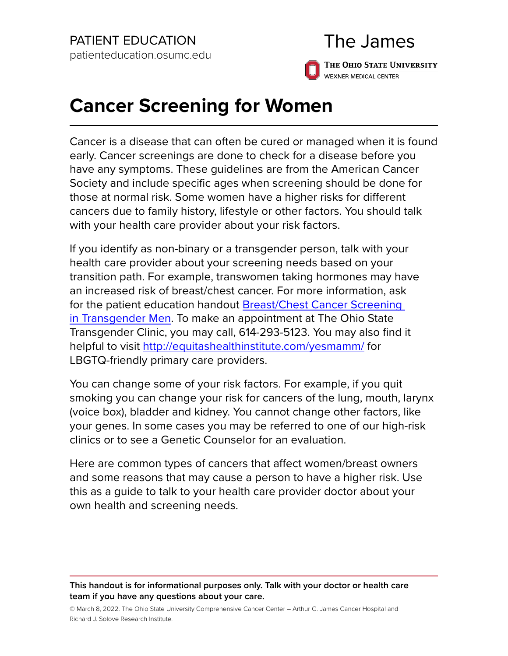# The James

THE OHIO STATE UNIVERSITY WEXNER MEDICAL CENTER

# **Cancer Screening for Women**

Cancer is a disease that can often be cured or managed when it is found early. Cancer screenings are done to check for a disease before you have any symptoms. These guidelines are from the American Cancer Society and include specific ages when screening should be done for those at normal risk. Some women have a higher risks for different cancers due to family history, lifestyle or other factors. You should talk with your health care provider about your risk factors.

If you identify as non-binary or a transgender person, talk with your health care provider about your screening needs based on your transition path. For example, transwomen taking hormones may have an increased risk of breast/chest cancer. For more information, ask for the patient education handout [Breast/Chest Cancer Screening](https://healthsystem.osumc.edu/pteduc/docs/BreastChestCanScreenTransMen.pdf)  [in Transgender Men](https://healthsystem.osumc.edu/pteduc/docs/BreastChestCanScreenTransMen.pdf). To make an appointment at The Ohio State Transgender Clinic, you may call, 614-293-5123. You may also find it helpful to visit<http://equitashealthinstitute.com/yesmamm/> for LBGTQ-friendly primary care providers.

You can change some of your risk factors. For example, if you quit smoking you can change your risk for cancers of the lung, mouth, larynx (voice box), bladder and kidney. You cannot change other factors, like your genes. In some cases you may be referred to one of our high-risk clinics or to see a Genetic Counselor for an evaluation.

Here are common types of cancers that affect women/breast owners and some reasons that may cause a person to have a higher risk. Use this as a guide to talk to your health care provider doctor about your own health and screening needs.

**This handout is for informational purposes only. Talk with your doctor or health care team if you have any questions about your care.**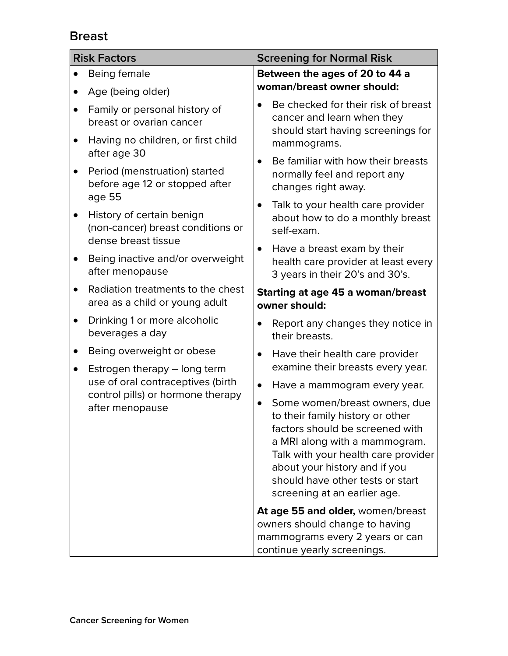# **Breast**

| <b>Risk Factors</b> |                                                                                                                           | <b>Screening for Normal Risk</b>                                                                                                                                                                                                                                                               |  |  |
|---------------------|---------------------------------------------------------------------------------------------------------------------------|------------------------------------------------------------------------------------------------------------------------------------------------------------------------------------------------------------------------------------------------------------------------------------------------|--|--|
|                     | Being female                                                                                                              | Between the ages of 20 to 44 a                                                                                                                                                                                                                                                                 |  |  |
|                     | Age (being older)                                                                                                         | woman/breast owner should:                                                                                                                                                                                                                                                                     |  |  |
| $\bullet$           | Family or personal history of<br>breast or ovarian cancer                                                                 | Be checked for their risk of breast<br>cancer and learn when they<br>should start having screenings for                                                                                                                                                                                        |  |  |
|                     | Having no children, or first child<br>after age 30                                                                        | mammograms.                                                                                                                                                                                                                                                                                    |  |  |
|                     | Period (menstruation) started<br>before age 12 or stopped after<br>age 55                                                 | Be familiar with how their breasts<br>normally feel and report any<br>changes right away.                                                                                                                                                                                                      |  |  |
| $\bullet$           | History of certain benign<br>(non-cancer) breast conditions or<br>dense breast tissue                                     | Talk to your health care provider<br>about how to do a monthly breast<br>self-exam.                                                                                                                                                                                                            |  |  |
| $\bullet$           | Being inactive and/or overweight<br>after menopause                                                                       | Have a breast exam by their<br>$\bullet$<br>health care provider at least every<br>3 years in their 20's and 30's.                                                                                                                                                                             |  |  |
|                     | Radiation treatments to the chest<br>area as a child or young adult                                                       | Starting at age 45 a woman/breast<br>owner should:                                                                                                                                                                                                                                             |  |  |
|                     | Drinking 1 or more alcoholic<br>beverages a day                                                                           | Report any changes they notice in<br>$\bullet$<br>their breasts.                                                                                                                                                                                                                               |  |  |
| $\bullet$           | Being overweight or obese                                                                                                 | Have their health care provider<br>$\bullet$                                                                                                                                                                                                                                                   |  |  |
| $\bullet$           | Estrogen therapy - long term<br>use of oral contraceptives (birth<br>control pills) or hormone therapy<br>after menopause | examine their breasts every year.                                                                                                                                                                                                                                                              |  |  |
|                     |                                                                                                                           | Have a mammogram every year.<br>$\bullet$                                                                                                                                                                                                                                                      |  |  |
|                     |                                                                                                                           | Some women/breast owners, due<br>$\bullet$<br>to their family history or other<br>factors should be screened with<br>a MRI along with a mammogram.<br>Talk with your health care provider<br>about your history and if you<br>should have other tests or start<br>screening at an earlier age. |  |  |
|                     |                                                                                                                           | At age 55 and older, women/breast                                                                                                                                                                                                                                                              |  |  |
|                     |                                                                                                                           | owners should change to having<br>mammograms every 2 years or can<br>continue yearly screenings.                                                                                                                                                                                               |  |  |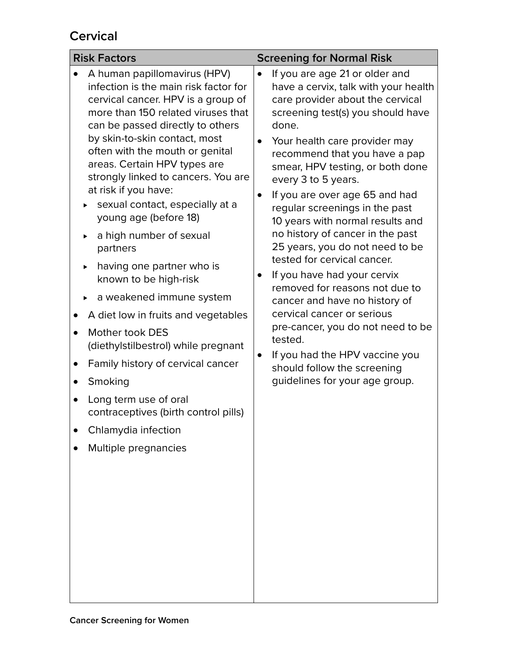# **Cervical**

| <b>Risk Factors</b>                                                                                                                                                                                                                                                                                                                                                                                                                                                                                                                                                                                                                                                                                                                                                                                            | <b>Screening for Normal Risk</b>                                                                                                                                                                                                                                                                                                                                                                                                                                                                                                                                                                                                                                                                                                                                                                                              |  |  |
|----------------------------------------------------------------------------------------------------------------------------------------------------------------------------------------------------------------------------------------------------------------------------------------------------------------------------------------------------------------------------------------------------------------------------------------------------------------------------------------------------------------------------------------------------------------------------------------------------------------------------------------------------------------------------------------------------------------------------------------------------------------------------------------------------------------|-------------------------------------------------------------------------------------------------------------------------------------------------------------------------------------------------------------------------------------------------------------------------------------------------------------------------------------------------------------------------------------------------------------------------------------------------------------------------------------------------------------------------------------------------------------------------------------------------------------------------------------------------------------------------------------------------------------------------------------------------------------------------------------------------------------------------------|--|--|
| A human papillomavirus (HPV)<br>infection is the main risk factor for<br>cervical cancer. HPV is a group of<br>more than 150 related viruses that<br>can be passed directly to others<br>by skin-to-skin contact, most<br>often with the mouth or genital<br>areas. Certain HPV types are<br>strongly linked to cancers. You are<br>at risk if you have:<br>sexual contact, especially at a<br>young age (before 18)<br>a high number of sexual<br>partners<br>having one partner who is<br>known to be high-risk<br>a weakened immune system<br>A diet low in fruits and vegetables<br>Mother took DES<br>(diethylstilbestrol) while pregnant<br>Family history of cervical cancer<br>Smoking<br>Long term use of oral<br>contraceptives (birth control pills)<br>Chlamydia infection<br>Multiple pregnancies | If you are age 21 or older and<br>$\bullet$<br>have a cervix, talk with your health<br>care provider about the cervical<br>screening test(s) you should have<br>done.<br>Your health care provider may<br>recommend that you have a pap<br>smear, HPV testing, or both done<br>every 3 to 5 years.<br>If you are over age 65 and had<br>$\bullet$<br>regular screenings in the past<br>10 years with normal results and<br>no history of cancer in the past<br>25 years, you do not need to be<br>tested for cervical cancer.<br>If you have had your cervix<br>removed for reasons not due to<br>cancer and have no history of<br>cervical cancer or serious<br>pre-cancer, you do not need to be<br>tested.<br>If you had the HPV vaccine you<br>$\bullet$<br>should follow the screening<br>guidelines for your age group. |  |  |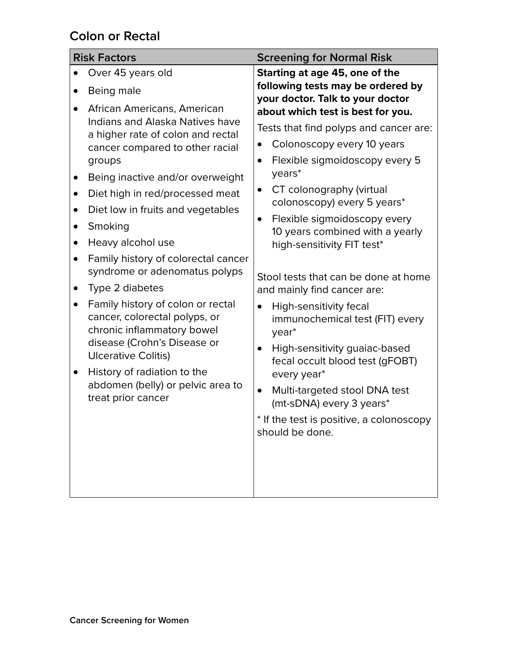## **Colon or Rectal**

| <b>Risk Factors</b> |                                                                                                                                                                                                                                                         | <b>Screening for Normal Risk</b>                                             |  |  |
|---------------------|---------------------------------------------------------------------------------------------------------------------------------------------------------------------------------------------------------------------------------------------------------|------------------------------------------------------------------------------|--|--|
|                     | Over 45 years old                                                                                                                                                                                                                                       | Starting at age 45, one of the                                               |  |  |
|                     | Being male                                                                                                                                                                                                                                              | following tests may be ordered by<br>your doctor. Talk to your doctor        |  |  |
|                     | African Americans, American                                                                                                                                                                                                                             | about which test is best for you.                                            |  |  |
|                     | Indians and Alaska Natives have<br>a higher rate of colon and rectal<br>cancer compared to other racial<br>groups<br>Being inactive and/or overweight                                                                                                   | Tests that find polyps and cancer are:                                       |  |  |
|                     |                                                                                                                                                                                                                                                         | Colonoscopy every 10 years<br>$\bullet$                                      |  |  |
|                     |                                                                                                                                                                                                                                                         | Flexible sigmoidoscopy every 5<br>$\bullet$                                  |  |  |
| $\bullet$           |                                                                                                                                                                                                                                                         | years*                                                                       |  |  |
| $\bullet$           | Diet high in red/processed meat                                                                                                                                                                                                                         | CT colonography (virtual<br>$\bullet$                                        |  |  |
| $\bullet$           | Diet low in fruits and vegetables                                                                                                                                                                                                                       | colonoscopy) every 5 years*                                                  |  |  |
|                     | Smoking                                                                                                                                                                                                                                                 | Flexible sigmoidoscopy every<br>$\bullet$<br>10 years combined with a yearly |  |  |
|                     | Heavy alcohol use                                                                                                                                                                                                                                       | high-sensitivity FIT test*                                                   |  |  |
| $\bullet$           | Family history of colorectal cancer                                                                                                                                                                                                                     |                                                                              |  |  |
|                     | syndrome or adenomatus polyps                                                                                                                                                                                                                           | Stool tests that can be done at home                                         |  |  |
| $\bullet$           | Type 2 diabetes                                                                                                                                                                                                                                         | and mainly find cancer are:                                                  |  |  |
| $\bullet$           | Family history of colon or rectal<br>cancer, colorectal polyps, or<br>chronic inflammatory bowel<br>disease (Crohn's Disease or<br><b>Ulcerative Colitis)</b><br>History of radiation to the<br>abdomen (belly) or pelvic area to<br>treat prior cancer | High-sensitivity fecal<br>$\bullet$<br>immunochemical test (FIT) every       |  |  |
|                     |                                                                                                                                                                                                                                                         | year <sup>*</sup>                                                            |  |  |
|                     |                                                                                                                                                                                                                                                         | High-sensitivity guaiac-based<br>$\bullet$                                   |  |  |
|                     |                                                                                                                                                                                                                                                         | fecal occult blood test (gFOBT)                                              |  |  |
|                     |                                                                                                                                                                                                                                                         | every year*                                                                  |  |  |
|                     |                                                                                                                                                                                                                                                         | Multi-targeted stool DNA test<br>$\bullet$<br>(mt-sDNA) every 3 years*       |  |  |
|                     |                                                                                                                                                                                                                                                         | * If the test is positive, a colonoscopy                                     |  |  |
|                     |                                                                                                                                                                                                                                                         | should be done.                                                              |  |  |
|                     |                                                                                                                                                                                                                                                         |                                                                              |  |  |
|                     |                                                                                                                                                                                                                                                         |                                                                              |  |  |
|                     |                                                                                                                                                                                                                                                         |                                                                              |  |  |
|                     |                                                                                                                                                                                                                                                         |                                                                              |  |  |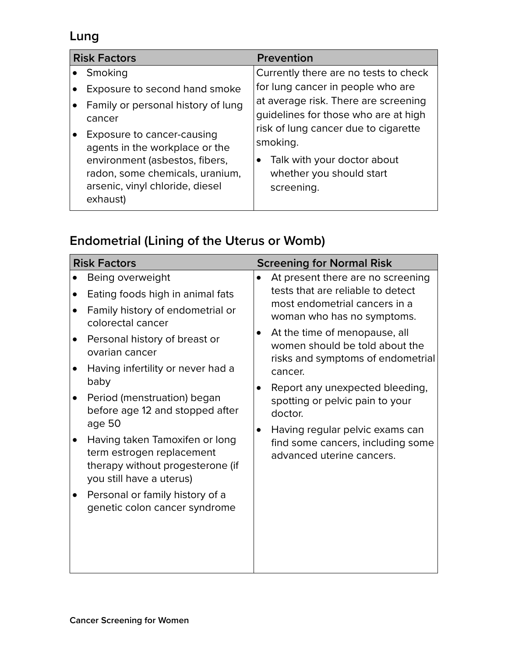# **Lung**

| <b>Risk Factors</b> |                                                                                                                                                                                  | <b>Prevention</b>                                                                                                         |  |
|---------------------|----------------------------------------------------------------------------------------------------------------------------------------------------------------------------------|---------------------------------------------------------------------------------------------------------------------------|--|
|                     | Smoking                                                                                                                                                                          | Currently there are no tests to check                                                                                     |  |
|                     | Exposure to second hand smoke<br>Family or personal history of lung<br>cancer                                                                                                    | for lung cancer in people who are<br>at average risk. There are screening<br>guidelines for those who are at high         |  |
|                     | Exposure to cancer-causing<br>agents in the workplace or the<br>environment (asbestos, fibers,<br>radon, some chemicals, uranium,<br>arsenic, vinyl chloride, diesel<br>exhaust) | risk of lung cancer due to cigarette<br>smoking.<br>Talk with your doctor about<br>whether you should start<br>screening. |  |

# **Endometrial (Lining of the Uterus or Womb)**

| <b>Risk Factors</b>               | <b>Screening for Normal Risk</b>  |  |  |
|-----------------------------------|-----------------------------------|--|--|
| Being overweight                  | At present there are no screening |  |  |
| Eating foods high in animal fats  | $\bullet$                         |  |  |
| Family history of endometrial or  | tests that are reliable to detect |  |  |
| colorectal cancer                 | most endometrial cancers in a     |  |  |
| Personal history of breast or     | woman who has no symptoms.        |  |  |
| ovarian cancer                    | At the time of menopause, all     |  |  |
| Having infertility or never had a | $\bullet$                         |  |  |
| baby                              | women should be told about the    |  |  |
| Period (menstruation) began       | risks and symptoms of endometrial |  |  |
| before age 12 and stopped after   | cancer.                           |  |  |
| age 50                            | Report any unexpected bleeding,   |  |  |
| Having taken Tamoxifen or long    | spotting or pelvic pain to your   |  |  |
| term estrogen replacement         | doctor.                           |  |  |
| therapy without progesterone (if  | Having regular pelvic exams can   |  |  |
| you still have a uterus)          | $\bullet$                         |  |  |
| Personal or family history of a   | find some cancers, including some |  |  |
| genetic colon cancer syndrome     | advanced uterine cancers.         |  |  |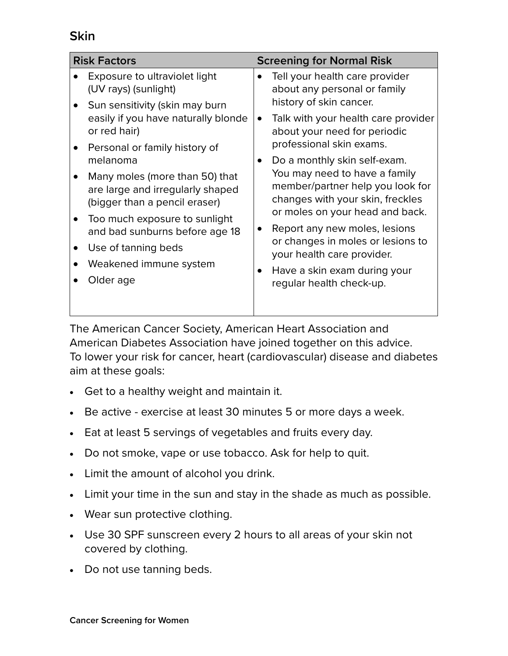#### **Skin**

| <b>Risk Factors</b> |                                                                                                                               | <b>Screening for Normal Risk</b> |                                                                                                                                          |  |
|---------------------|-------------------------------------------------------------------------------------------------------------------------------|----------------------------------|------------------------------------------------------------------------------------------------------------------------------------------|--|
|                     | Exposure to ultraviolet light<br>(UV rays) (sunlight)                                                                         | $\bullet$                        | Tell your health care provider<br>about any personal or family                                                                           |  |
|                     | Sun sensitivity (skin may burn<br>easily if you have naturally blonde<br>or red hair)                                         | $\bullet$                        | history of skin cancer.<br>Talk with your health care provider<br>about your need for periodic                                           |  |
|                     | Personal or family history of<br>melanoma                                                                                     | $\bullet$                        | professional skin exams.<br>Do a monthly skin self-exam.                                                                                 |  |
|                     | Many moles (more than 50) that<br>are large and irregularly shaped<br>(bigger than a pencil eraser)                           |                                  | You may need to have a family<br>member/partner help you look for<br>changes with your skin, freckles<br>or moles on your head and back. |  |
|                     | Too much exposure to sunlight<br>and bad sunburns before age 18<br>Use of tanning beds<br>Weakened immune system<br>Older age | $\bullet$                        | Report any new moles, lesions<br>or changes in moles or lesions to<br>your health care provider.                                         |  |
|                     |                                                                                                                               |                                  |                                                                                                                                          |  |
|                     |                                                                                                                               | $\bullet$                        | Have a skin exam during your<br>regular health check-up.                                                                                 |  |

The American Cancer Society, American Heart Association and American Diabetes Association have joined together on this advice. To lower your risk for cancer, heart (cardiovascular) disease and diabetes aim at these goals:

- Get to a healthy weight and maintain it.
- Be active exercise at least 30 minutes 5 or more days a week.
- Eat at least 5 servings of vegetables and fruits every day.
- Do not smoke, vape or use tobacco. Ask for help to quit.
- • Limit the amount of alcohol you drink.
- Limit your time in the sun and stay in the shade as much as possible.
- • Wear sun protective clothing.
- • Use 30 SPF sunscreen every 2 hours to all areas of your skin not covered by clothing.
- Do not use tanning beds.